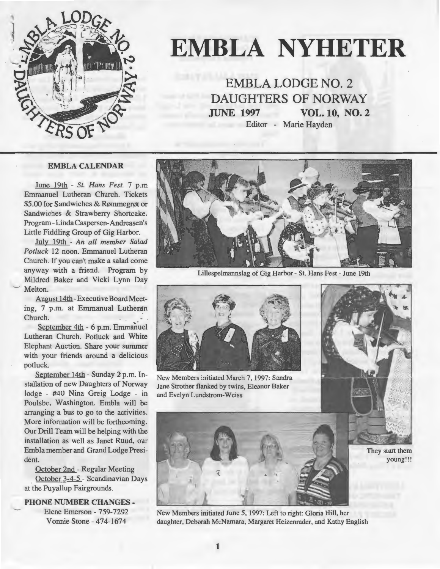

# **EMBLA NYHETER**

**EMBLA LODGE NO. 2 DAUGHTERS OF NORWAY JUNE 1997 VOL. 10, NO. 2**  Editor - Marie Hayden

#### **EMBLA CALENDAR**

June 19th - *St. Hans Fest.* 7 p.m Emmanuel Lutheran Church. Tickets \$5.00 for Sandwiches & Rømmegrøt or Sandwiches & Strawberry Shortcake. Program -Linda Caspersen-Andreasen 's Little Fiddling Group of Gig Harbor.

July 19th - *An all member Salad Potluck* 12 noon. Emmanuel Lutheran Church. If you can't make a salad come anyway with a friend. Program by Mildred Baker and Vicki Lynn Day Melton.

August 14th -Executive Board Meeting, 7 p.m. at Emmanual Lutheran Church.

September 4th - 6 p.m. Emmanuel Lutheran Church. Potluck and White Elephant Auction. Share your summer with your friends around a delicious potluck.

September 14th - Sunday 2 p.m. Installation of new Daughters of Norway lodge - #40 Nina Greig Lodge' - in Poulsbo, Washington. Embla will be arranging a bus to go to the activities. More information will be forthcoming. Our Drill Team will be helping with the installation as well as Janet Ruud, our Embla member and Grand Lodge President.

October 2nd - Regular Meeting October 3-4-5 - Scandinavian Days at the Puyallup Fairgrounds.

**PHONE NUMBER CHANGES** - Elene Emerson - 759-7292 Vonnie Stone - 474-1674



Lillespelmannslag of Gig Harbor - St. Hans Fest - June 19th



New Members initiated March 7, 1997: Sandra Jane Strother flanked by twins, Eleanor Baker and Evelyn Lundstrom-Weiss



They start them young!!!



New Members initiated June 5, 1997: Left to right: Gloria Hill, her daughter, Deborah McNamara, Margaret Heizenrader, and Kathy English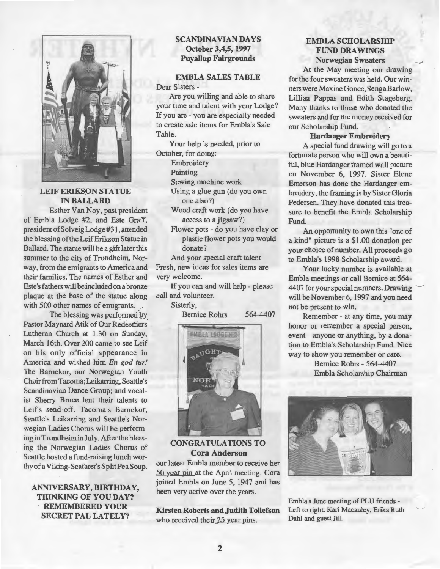

**LEIF ERIKSON STATUE INBALLARD** 

Esther Van Noy, past president of Embla Lodge #2, and Este Graff, president of Solveig Lodge #31, attended the blessing of the Leif Erikson Statue in Ball ard. The statue will be a gift later this summer to the city of Trondheim, Norway, from the emigrants to America and their families. The names of Esther and Este's fathers will be included on a bronze plaque at the base of the statue along with 500 other names of emigrants.<br>The blessing was performed by

Pastor Maynard Atik of Our Redeemers Lutheran Church at 1:30 on Sunday, March 16th. Over 200 came to see Leif on his only official appearance in America and wished him *En god tur!*  The Barnekor, our Norwegian Youth Choirfrom Tacoma; Leikarring, Seattle's Scandinavian Dance Group; and vocalist Sherry Bruce lent their talents to Leifs send-off. Tacoma's Barnekor, Seattle's Leikarring and Seattle's Norwegian Ladies Chorus will be performing in Trondheim in July. After the blessing the Norwegian Ladies Chorus of Seattle hosted a fund-raising lunch worthy of a Viking-Seafarer's SplitPeaSoup.

#### **ANNIVERSARY, BIRTHDAY, THINKING OF YOU DAY? REMEMBERED YOUR SECRET PAL LATELY?**

#### **SCANDINAVIAN DAYS October 3,4,5, 1997 Puyallup Fairgrounds**

**EMBLA SALES TABLE**  Dear Sisters -

Are you willing and able to share your time and talent with your Lodge? If you are - you are especially needed to create sale items for Embla's Sale Table.

Your help is needed, prior to October, for doing:

**Embroidery** 

Painting

Sewing machine work

Using a glue gun (do you own one also?)

Wood craft work (do you have access to a jigsaw?)

Flower pots - do you have clay or plastic flower pots you would donate?

And your special craft talent Fresh, new ideas for sales items are very welcome.

If you can and will help - please call and volunteer.

Sisterly,

Bernice Rohrs 564-4407



**CONGRA TULATIONS TO Cora Anderson** 

our latest Embla member to receive her 50 year pin at the April meeting. Cora joined Embla on June 5, 1947 and has been very active over the years.

**Kirsten Roberts and Judith Tollefson**  who received their 25 year pins.

#### **EMBLA SCHOLARSHIP FUND DRA WINGS Norwegian Sweaters**

At the May meeting our drawing for the four sweaters was held. Our winners were Maxine Gonce, SengaBarlow, Lillian Pappas and Edith Stageberg. Many thanks to those who donated the sweaters and for the money received for our Scholarship Fund.

#### **Hardanger Embroidery**

A special fund drawing will go to a fortunate person who will own a beautiful, blue Hardanger framed wall picture on November 6, 1997. Sister Elene Emerson has done the Hardanger embroidery, the framing is by Sister Gloria Pedersen. They have donated this treasure to benefit the Embla Scholarship Fund.

An opportunity to own this "one of a kind" picture is a \$1.00 donation per your choice of number. All proceeds go to Embla's 1998 Scholarship award.

Your lucky number is available at Embla meetings or call Bernice at 564- 4407 for your special numbers. Drawing will be November 6, 1997 and you need not be present to win.

Remember - at any time, you may honor or remember a special person, event - anyone or anything, by a donation to Embla's Scholarship Fund. Nice way to show you remember or care.

> Bernice Rohrs - 564-4407 Embla Scholarship Chairman



Embla's June meeting of PLU friends - Left to right: Kari Macauley, Erika Ruth Dahl and guest Jill.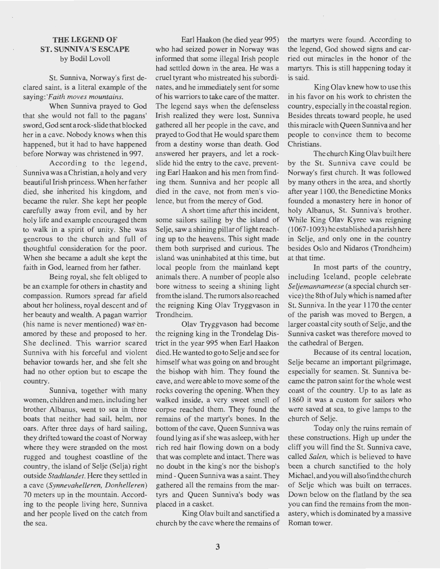## **THE LEGEND OF ST. SUNNIVA'S ESCAPE**

by Bodil Lovoll

St. Sunniva, Norway's first declared saint, is a literal example of the *saying:'Faith maves mountains.* 

When Sunniva prayed to God that she would not fall to the pagans' sword, God sentarock-slide that blocked her in a cave. Nobody knows when this happened, but it had to have happened before Norway was christened in 997.

According to the legend, Sunniva was aChristian, aholy and very beautiful Irish princess. When her father died, she inherited his kingdom, and became the ruler. She kept her people carefully away from evil, and by her holy life and example encouraged them to walk in a spirit of unity. She was generous to the church and full of thoughtful consideration for the poor. When she became a adult she kept the faith in God, learned from her father.

Being royal, she felt obliged to be an example for others in chastity and compassion. Rumors spread far afield about her holiness, royal descent and of her beauty and wealth. A pagan warrior (his name is never mentioned) was enamored by these and proposed to her. She declined. This warrior scared Sunniva with his forceful and violent behavior towards her, and she felt she had no other option but to escape the country.

Sunniva, together with many women, children and men, including her brother Albanus, went to sea in three boats that neither had sail, heim, nor oars. After three days of hard sailing, they drifted toward the coast of Norway where they were stranded on the most rugged and toughest coastline of the country, the island of Selje (Selja) right outside *Stadtlandet.* Here they settled in a cave *(Synnevahelleren, Donhelleren)*  70 meters up in the mountain. According to the people living here, Sunniva and her people lived on the catch from the sea.

Earl Haakon (he died year 995) who had seized power in Norway was informed that some illegal Irish people had settled down in the area. He was a cruel tyrant who mistreated his subordinates, and he immediately sent for some of his warriors to take care of the matter. The legend says when the defenseless Irish realized they were lost, Sunniva gathered all her people in the cave, and prayed to God that He would spare them from a destiny worse than death. God answered her prayers, and let a rockslide hid the entry to the cave, preventing Earl Haakon and his men from finding them. Sunniva and her people all died in the cave, not from men's violence, but from the mercy of God.

A short time after this incident, some sailors sailing by the island of Selje, saw a shining pillar of light reaching up to the heavens. This sight made them both surprised and curious. The island was uninhabited at this time, but local people from the mainland kept animals there. A number of people also ·bore witness to seeing a shining light from the island. The rumors also reached the reigning King Olav Tryggvason in Trondheim.

Olav Tryggvason had become the reigning king in the Trondelag District in the year 995 when Earl Haakon died. He wanted to go to Selje and see for himself what was going on and brought the bishop with him. They found the cave, and were able to move some of the rocks covering the opening. When they walked inside, a very sweet smell of corpse reached them. They found the remains of the martyr's bones. In the bottom of the cave, Queen Sunniva was found lying as if she was asleep, with her rich red hair flowing down on a body that was complete and intact. There was no doubt in the king's nor the bishop's mind - Queen Sunniva was a saint. They gathered all the remains from the martyrs and Queen Sunniva's body was placed in a casket.

King Olav built and sanctified a church by the cave where the remains of the martyrs were found. According to the legend, God showed signs and carried out miracles in the honor of the martyrs. This is still happening today it is said.

King Olav knew how to use this in his favor on his work to christen the country, especially in the coastal region. Besides threats toward people, he used this rniracle with Queen Sunniva and her people to convince them to become Christians.

The church King Olav built here by the St. Sunniva cave could be Norway's first church. It was followed by many others in the area, and shortly after year 1100, the Benedictine Monks founded a monastery here in honor of holy Albanus, St. Sunniva's brother. While King Olav Kyree was reigning ( 1067-1093) he established a parish here in Selje, and only one in the country besides Oslo and Nidaros (Trondheim) at that time.

In most parts of the country, including Iceland, people celebrate *Seljemannameese* (a special church service) the Sth of July which is named after St. Sunniva. In the year 1170 the center of the parish was moved to Bergen, a larger coastal city south of Selje, and the Sunniva casket was therefore moved to the cathedral of Bergen.

Because of its central location, Selje became an important pilgrimage, especially for seamen. St. Sunniva became the patron saint for the whole west coast of the country. Up to as late as 1860 it was a custom for sailors who were saved at sea, to give lamps to the church of Selje.

Today only the mins remain of these constructions. High up under the cliff you will find the St. Sunniva cave, called *Salen,* which is believed to have been a church sanctified to the holy Michael, and you will also find the church of Selje which was built on terraces. Down below on the flatland by the sea you can find the remains from the monastery, which is dorninated bya massive Roman tower.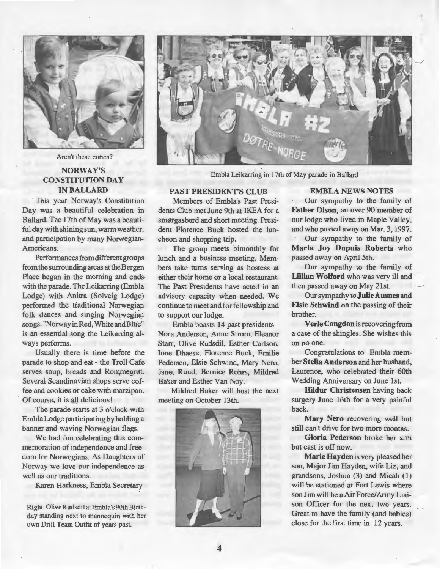

Aren't these cuties?

### NORWAY'S CONSTITUTION DA Y INBALLARD

This year Norway's Constitution Day was a beautiful celebration in Ballard. The 17th of May was a beautiful day with shining sun, warm weather, and participation by many Norwegian-Americans.

Performances from different groups from the surrounding areas at the Bergen Place began in the morning and ends with the parade. The Leikarring (Embla Lodge) with Anitra (Solveig Lodge) performed the traditional Norwegian folk dances and singing Norwegian songs. "Norway in Red, White and Bhie" is an essential song the Leikarring always performs.

Usually there is time before the parade to shop and eat - the Troll Cafe serves soup, breads and Rommegrøt. Several Scandinavian shops serve coffee and cookies or cake with marzipan. Of course, it is all delicious !

The parade starts at 3 o'clock with EmblaLodge participating by holdinga banner and waving Norwegian flags.

We had fun celebrating this commemoration of independence and freedom for Norwegians. As Daughters of Norway we love our independence as well as our traditions.

Karen Harkness, Embla Secretary

Right: Olive Rudsdil atEmbla's 90th Birthday standing next to mannequin with her own Drill Team Outfit of years past.



Embla Leikarring in 17th of May parade in Ballard

## PAST PRESIDENT'S CLUB

Members of Embla's Past Presidents Club met June 9th at IKEA for a smørgasbord and short meeting. President Florence Buck hosted the luncheon and shopping trip.

The group meets bimonthly for lunch and a business meeting. Members take turns serving as hostess at either their home or a local restaurant. The Past Presidents have acted in an advisory capacity when needed. We continue to meet and for fellowship and to support our lodge.

Embla boasts 14 past presidents - Nora Anderson, Anne Strom, Eleanor Starr, Olive Rudsdil, Esther Carlson, Ione Dhaese, Florence Buck, Emilie Pedersen, Elsie Schwind, Mary Nero, Janet Ruud, Bernice Rohrs, Mildred Baker and Esther Van Noy.

Mildred Baker will host the next meeting on October 13th.



#### EMBLA NEWS NOTES

Our sympathy to the farnily of Esther Olson, an over 90 member of our lodge who lived in Maple Valley, and who passed away on Mar. 3, 1997.

Our sympathy to the farnily of Maria Joy Dupuis Roberts who passed away on April Sth.

Our sympathy to the farnily of Lillian Wolford who was very ill and then passed away on May 21st.

Our sympathy to Julie Ausnes and Elsie Schwind on the passing of their brother.

Verle Congdon is recovering from a case of the shingles. She wishes this on no one.

Congratulations to Embla member Stella Anderson and her husband, Laurence, who celebrated their 60th Wedding Anniversary on June Ist.

Hildur Christensen having back surgery June 16th for a very painful back.

Mary Nero recovering well but still can't drive for two more months.

Gloria Pederson broke her arm but east is off now.

Marie Hayden is very pleased her son, Major Jim Hayden, wife Liz, and grandsons, Joshua (3) and Micah (1) will be stationed at Fort Lewis where son Jim will be a Air Force/Army Liaison Officer for the next two years. Great to have the farnily (and babies) close for the first time in 12 years.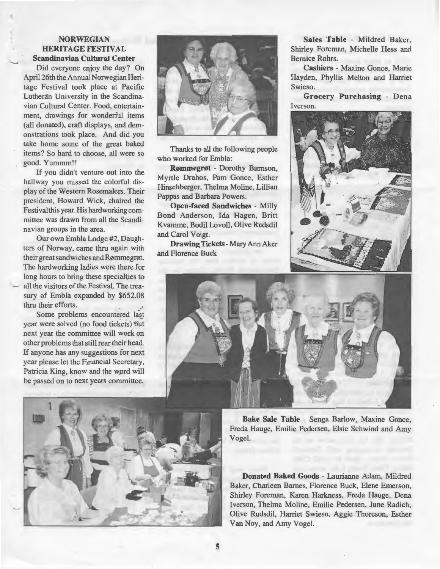#### **NORWEGIAN HERITAGE FESTIVAL Scandinavian Cultural Center**

Did everyone enjoy the day? On April 26th the Annual Norwegian Heritage Festival took place at Pacific Lutheran University in the Scandinavian Cultural Center. Food, entertainment, drawings for wonderful items (all donated), craft displays, and demonstrations took place. And did you take home some of the great baked items? So hard to choose, all were so good. Yummm!!

If you didn't venture out into the hallway you missed the colorful display of the Western Rosemalers. Their president, Howard Wick, chaired the Festival this year. His hardworking committee was drawn from all the Scandinavian groups in the area.

Our own Embla Lodge #2, Daughters of Norway, came thru again with their great sandwiches and Rømmegrøt. The hardworking ladies were there for long hours to bring these specialties to all the visitors of the Festival. The treasury of Embla expanded by \$652.08 thru their efforts.

Some problems encountered last year were solved (no food tickets) but next year the committee will work on other problems that still rear their head. If anyone has any suggestions for next year please let the Financial Secretary, Patricia King, know and the wprd will be passed on to next years committee.



Thanks to all the following people who worked for Embla:

**Rømmegrøt** - Dorothy Bumson, Myrtle Drahos, Pam Gonce, Esther Hinschberger, Thelma Moline, Lillian Pappas and Barbara Powers.

**Open-faced Sandwiches** - Milly Bond Anderson, Ida Hagen, Britt Kvamme, Bodil Lovoll, Olive Rudsdil and Carol Voigt.

**Drawing Tickets - Mary Ann Aker** and Florence Buck

**Sales Table** - Mildred Baker, Shirley Foreman, Michelle Hess and Bemice Rohrs.

**Cashiers** - Maxine Gonce, Marie Hayden, Phyllis Melton and Harriet Swieso.

**Grocery Purchasing** - Dena Iverson.







**Bake Sale Table** - Senga Barlow, Maxine Gonce, Freda Hauge, Emilie Pedersen, Elsie Schwind and Amy Vogel.

**Donated Baked Goods** - Laurianne Adam, Mildred Baker, Charleen Bames, Florence Buck, Elene Emerson, Shirley Foreman, Karen Harkness, Freda Hauge, Dena Iverson, Thelma Moline, Emilie Pedersen, June Radich, Olive Rudsdil, Harriet Swieso, Aggie Thoreson, Esther Van Noy, and Amy Vogel.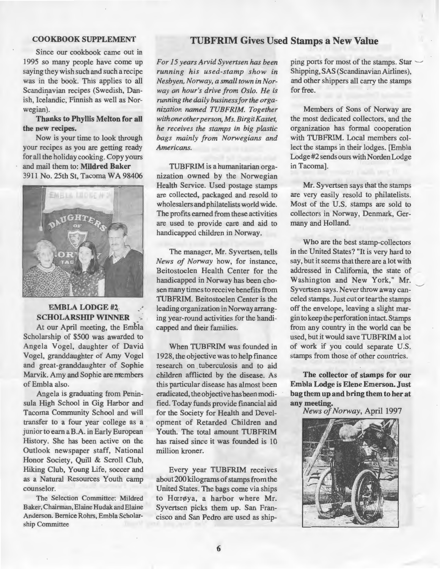#### COOKBOOKSUPPLEMENT

Since our cookbook came out in 1995 so many people have come up saying they wish such and such a recipe was in the book. This applies to all Scandinavian recipes (Swedish, Danish, Icelandic, Finnish as well as Norwegian).

Thanks to Phyllis Melton for all the new recipes.

Now is your time to look through your recipes as you are getting ready for all the holiday cooking. Copy yours and mail them to: Mildred Baker 3911 No. 25th St. Tacoma WA 98406



#### EMBLA LODGE #2\_ SCHOLARSHIP WINNER

At our April meeting, the Embia Scholarship of \$500 was awarded to Angela Vogel, daughter of David Vogel, granddaughter of Amy Vogel and great-granddaughter of Sophie Marvik. Amy and Sophie are members of Embla also.

Angela is graduating from Peninsula High School in Gig Harbor and Tacoma Community School and will transfer to a four year college as a junior to earn a B.A. in Early European History. She has been active on the Outlook newspaper staff, National Honor Society, Quill & Scroll Club, Hiking Club, Young Life, soccer and as a Natural Resources Youth camp counselor.

The Selection Committee: Mildred Baker, Chairman, Elaine Hudak and Elaine Anderson. Bemice Rohrs, Embla Scholarship Committee

## TUBFRIM Gives Used Stamps a New Valne

*For 15 years Arvid Syvertsen has been running his used-stamp show in Nesbyen, Norway, a small town in Norway an hour's drive from Oslo. He is running the daily businessfor the organization named TUBFRIM. Together with one other person, Ms. Birgit Kastet, he receives the stamps in hig plastic bags mainly from Norwegians and Americans.* 

TUBFRIM is a humanitarian organization owned by the Norwegian Health Service. Used postage stamps are collected, packaged and resold to wholesalers and philatelists world wide. The profits earned from these activities are used to provide care and aid to handicapped children in Norway.

The manager, Mr. Syvertsen, tells *News of Norway* how, for instance, Beitostoelen Health Center for the handicapped in Norway has been chosen many times to receive benefits from TUBFRIM. Beitostoelen Center is the leading organization in Norway arranging year-round activities for the handicapped and their families.

When TUBFRIM was founded in 1928, the objective was to help finance research on tuberculosis and to aid children afflicted by the disease. As this particular disease has almost been eradicated, the objective has been modified. Today funds provide financial aid for the Society for Health and Development of Retarded Children and Youth. The total amount TUBFRIM has raised since it was founded is 10 million kroner.

Every year TUBFRIM receives about 200 kilograms of stamps from the United States. The bags come via ships to Hærøya, a harbor where Mr. Syvertsen picks them up. San Francisco and San Pedro are used as shipping ports for most of the stamps. Star Shipping, SAS (Scandinavian Airlines), and other shippers all carry the stamps for free.

Members of Sons of Norway are the most dedicated collectors, and the organization has formal cooperation with TUBFRIM. Local members collect the stamps in their lodges. [Embla Lodge #2 sends ours with Norden Lodge in Tacoma].

Mr. Syvertsen says that the stamps are very easily resold to philatelists. Most of the U.S. stamps are sold to collectors in Norway, Denmark, Germany and Holland.

Who are the best stamp-collectors in the United States? "It is very hard to say, hut it seems that there area lot with addressed in California, the state of Washington and New York," Mr. Syvertsen says. Never throw away canceled stamps. Just cut or tear the stamps off the envelope, leaving a slight margin to keep the perforation intact. Stamps from any country in the world can be used, but it would save TUBFRIM a lot of work if you could separate U.S. stamps from those of other countries.

The collector of stamps for our Em bla Lodge is Elene Emerson. Just bag them up and bring them to her at any meeting.

*News of Norway,* April 1997

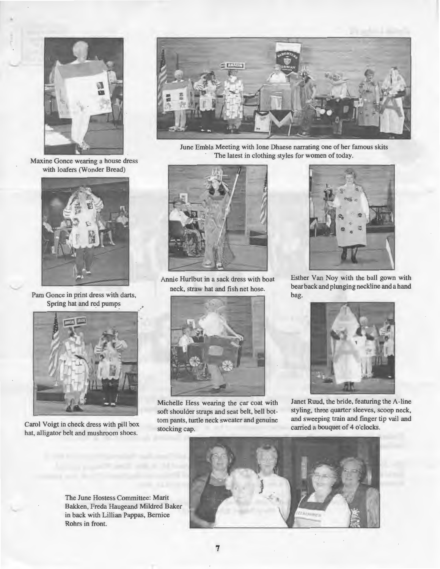

Maxine Gonce wearing a house dress with loafers (Wonder Bread)



Pam Gonce in print dress with darts, Spring hat and red pumps



Carol Voigt in check dress with pill box hat, alligator belt and mushroom shoes.



June Embla Meeting with Ione Dhaese narrating one of her famous skits The latest in clothing styles for women of today.



Annie Hurlbut in a sack dress with boat neck, straw hat and fish net hose.



Michelle Hess wearing the car coat with soft shoulder straps and seat belt, bell bottom pants, turtle neck sweater and genuine stocking cap.



Esther Van Noy with the ball gown with bear back and plunging neckline anda hand bag.



Janet Ruud, the bride, featuring the A-line styling, three quarter sleeves, scoop neck, and sweeping train and finger tip vail and carried a bouquet of 4 o'clocks.



The June Hostess Committee: Marit Bakken, Freda Haugeand Mildred Baker in back with Lillian Pappas, Bernice Rohrs in front.